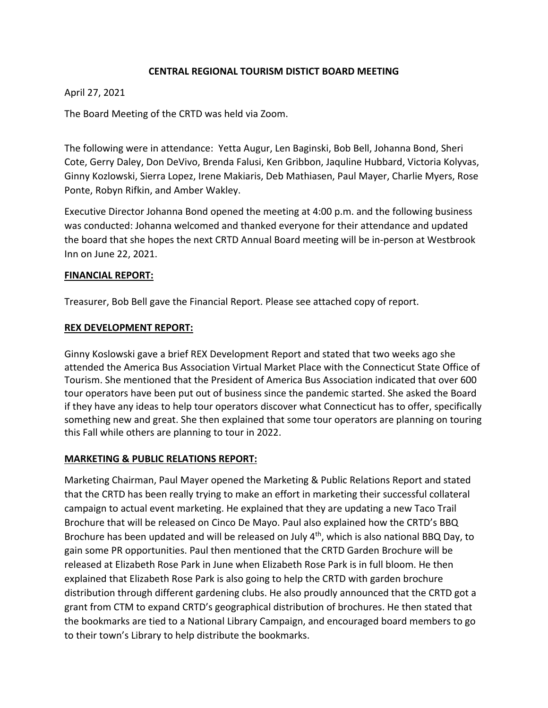### **CENTRAL REGIONAL TOURISM DISTICT BOARD MEETING**

### April 27, 2021

The Board Meeting of the CRTD was held via Zoom.

The following were in attendance: Yetta Augur, Len Baginski, Bob Bell, Johanna Bond, Sheri Cote, Gerry Daley, Don DeVivo, Brenda Falusi, Ken Gribbon, Jaquline Hubbard, Victoria Kolyvas, Ginny Kozlowski, Sierra Lopez, Irene Makiaris, Deb Mathiasen, Paul Mayer, Charlie Myers, Rose Ponte, Robyn Rifkin, and Amber Wakley.

Executive Director Johanna Bond opened the meeting at 4:00 p.m. and the following business was conducted: Johanna welcomed and thanked everyone for their attendance and updated the board that she hopes the next CRTD Annual Board meeting will be in‐person at Westbrook Inn on June 22, 2021.

#### **FINANCIAL REPORT:**

Treasurer, Bob Bell gave the Financial Report. Please see attached copy of report.

#### **REX DEVELOPMENT REPORT:**

Ginny Koslowski gave a brief REX Development Report and stated that two weeks ago she attended the America Bus Association Virtual Market Place with the Connecticut State Office of Tourism. She mentioned that the President of America Bus Association indicated that over 600 tour operators have been put out of business since the pandemic started. She asked the Board if they have any ideas to help tour operators discover what Connecticut has to offer, specifically something new and great. She then explained that some tour operators are planning on touring this Fall while others are planning to tour in 2022.

#### **MARKETING & PUBLIC RELATIONS REPORT:**

Marketing Chairman, Paul Mayer opened the Marketing & Public Relations Report and stated that the CRTD has been really trying to make an effort in marketing their successful collateral campaign to actual event marketing. He explained that they are updating a new Taco Trail Brochure that will be released on Cinco De Mayo. Paul also explained how the CRTD's BBQ Brochure has been updated and will be released on July 4<sup>th</sup>, which is also national BBQ Day, to gain some PR opportunities. Paul then mentioned that the CRTD Garden Brochure will be released at Elizabeth Rose Park in June when Elizabeth Rose Park is in full bloom. He then explained that Elizabeth Rose Park is also going to help the CRTD with garden brochure distribution through different gardening clubs. He also proudly announced that the CRTD got a grant from CTM to expand CRTD's geographical distribution of brochures. He then stated that the bookmarks are tied to a National Library Campaign, and encouraged board members to go to their town's Library to help distribute the bookmarks.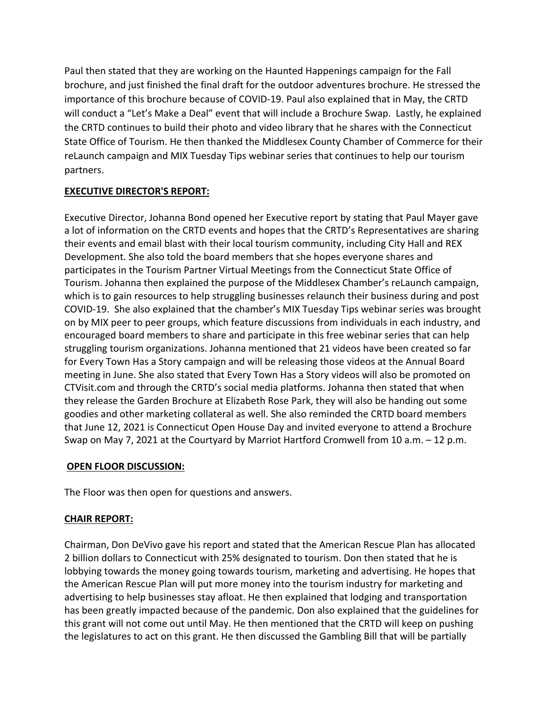Paul then stated that they are working on the Haunted Happenings campaign for the Fall brochure, and just finished the final draft for the outdoor adventures brochure. He stressed the importance of this brochure because of COVID‐19. Paul also explained that in May, the CRTD will conduct a "Let's Make a Deal" event that will include a Brochure Swap. Lastly, he explained the CRTD continues to build their photo and video library that he shares with the Connecticut State Office of Tourism. He then thanked the Middlesex County Chamber of Commerce for their reLaunch campaign and MIX Tuesday Tips webinar series that continues to help our tourism partners.

# **EXECUTIVE DIRECTOR'S REPORT:**

Executive Director, Johanna Bond opened her Executive report by stating that Paul Mayer gave a lot of information on the CRTD events and hopes that the CRTD's Representatives are sharing their events and email blast with their local tourism community, including City Hall and REX Development. She also told the board members that she hopes everyone shares and participates in the Tourism Partner Virtual Meetings from the Connecticut State Office of Tourism. Johanna then explained the purpose of the Middlesex Chamber's reLaunch campaign, which is to gain resources to help struggling businesses relaunch their business during and post COVID‐19. She also explained that the chamber's MIX Tuesday Tips webinar series was brought on by MIX peer to peer groups, which feature discussions from individuals in each industry, and encouraged board members to share and participate in this free webinar series that can help struggling tourism organizations. Johanna mentioned that 21 videos have been created so far for Every Town Has a Story campaign and will be releasing those videos at the Annual Board meeting in June. She also stated that Every Town Has a Story videos will also be promoted on CTVisit.com and through the CRTD's social media platforms. Johanna then stated that when they release the Garden Brochure at Elizabeth Rose Park, they will also be handing out some goodies and other marketing collateral as well. She also reminded the CRTD board members that June 12, 2021 is Connecticut Open House Day and invited everyone to attend a Brochure Swap on May 7, 2021 at the Courtyard by Marriot Hartford Cromwell from 10 a.m. – 12 p.m.

#### **OPEN FLOOR DISCUSSION:**

The Floor was then open for questions and answers.

# **CHAIR REPORT:**

Chairman, Don DeVivo gave his report and stated that the American Rescue Plan has allocated 2 billion dollars to Connecticut with 25% designated to tourism. Don then stated that he is lobbying towards the money going towards tourism, marketing and advertising. He hopes that the American Rescue Plan will put more money into the tourism industry for marketing and advertising to help businesses stay afloat. He then explained that lodging and transportation has been greatly impacted because of the pandemic. Don also explained that the guidelines for this grant will not come out until May. He then mentioned that the CRTD will keep on pushing the legislatures to act on this grant. He then discussed the Gambling Bill that will be partially